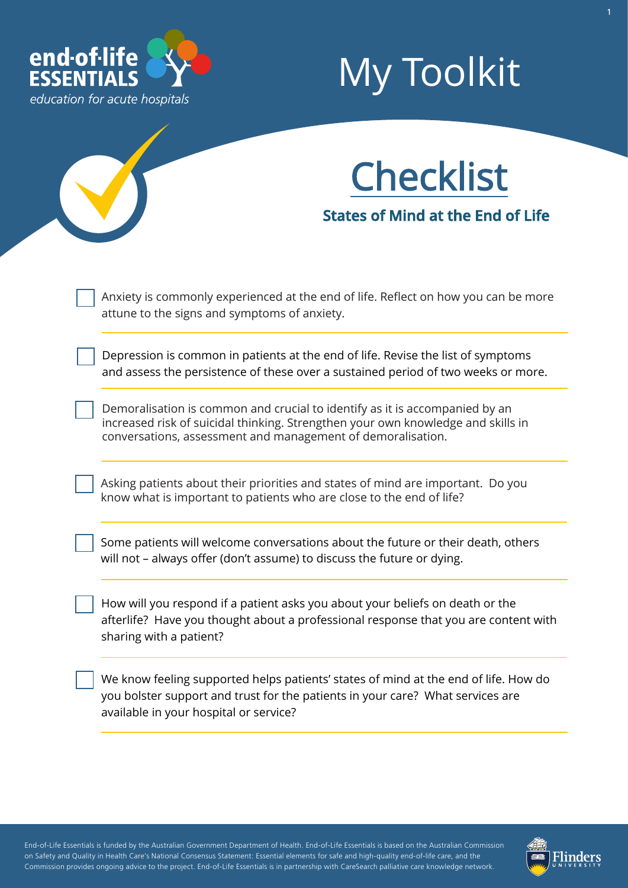

## My Toolkit

# **Checklist**

**States of Mind at the End of Life**

Anxiety is commonly experienced at the end of life. Reflect on how you can be more attune to the signs and symptoms of anxiety.

Depression is common in patients at the end of life. Revise the list of symptoms and assess the persistence of these over a sustained period of two weeks or more.

Demoralisation is common and crucial to identify as it is accompanied by an increased risk of suicidal thinking. Strengthen your own knowledge and skills in conversations, assessment and management of demoralisation.

Asking patients about their priorities and states of mind are important. Do you know what is important to patients who are close to the end of life?

Some patients will welcome conversations about the future or their death, others will not – always offer (don't assume) to discuss the future or dying.

How will you respond if a patient asks you about your beliefs on death or the afterlife? Have you thought about a professional response that you are content with sharing with a patient?

We know feeling supported helps patients' states of mind at the end of life. How do you bolster support and trust for the patients in your care? What services are available in your hospital or service?

End-of-Life Essentials is funded by the Australian Government Department of Health. End-of-Life Essentials is based on the Australian Commission on Safety and Quality in Health Care's National Consensus Statement: Essential elements for safe and high-quality end-of-life care, and the Commission provides ongoing advice to the project. End-of-Life Essentials is in partnership with CareSearch palliative care knowledge network.

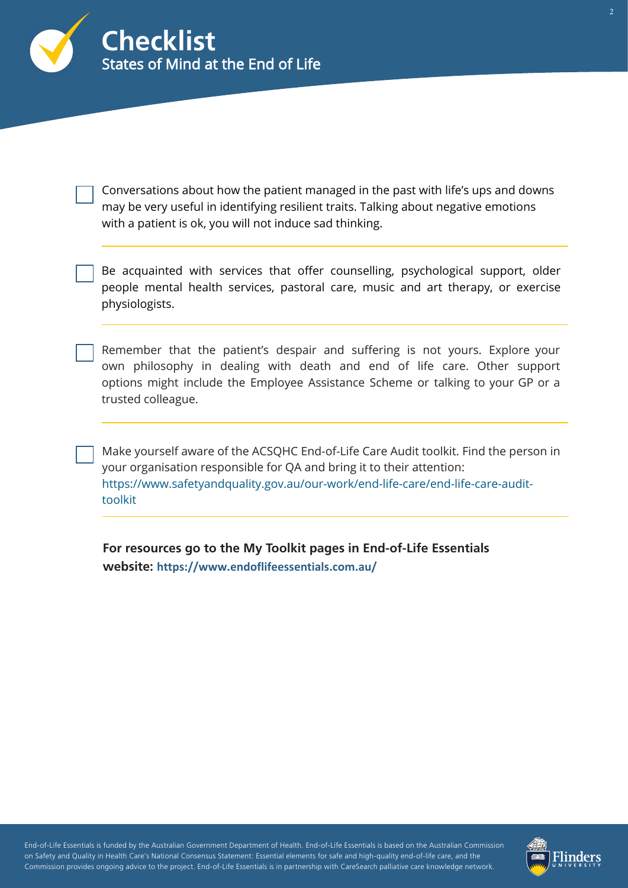

Conversations about how the patient managed in the past with life's ups and downs may be very useful in identifying resilient traits. Talking about negative emotions with a patient is ok, you will not induce sad thinking.

Be acquainted with services that offer counselling, psychological support, older people mental health services, pastoral care, music and art therapy, or exercise physiologists.

Remember that the patient's despair and suffering is not yours. Explore your own philosophy in dealing with death and end of life care. Other support options might include the Employee Assistance Scheme or talking to your GP or a trusted colleague.

Make yourself aware of the ACSQHC End-of-Life Care Audit toolkit. Find the person in your organisation responsible for QA and bring it to their attention: [https://www.safetyandquality.gov.au/our-work/end-life-care/end-life-care-audit](https://www.safetyandquality.gov.au/our-work/end-life-care/end-life-care-audit-toolkit)toolkit

**For resources go to the My Toolkit pages in End-of-Life Essentials website: <https://www.endoflifeessentials.com.au/>**

End-of-Life Essentials is funded by the Australian Government Department of Health. End-of-Life Essentials is based on the Australian Commission on Safety and Quality in Health Care's National Consensus Statement: Essential elements for safe and high-quality end-of-life care, and the Commission provides ongoing advice to the project. End-of-Life Essentials is in partnership with CareSearch palliative care knowledge network.

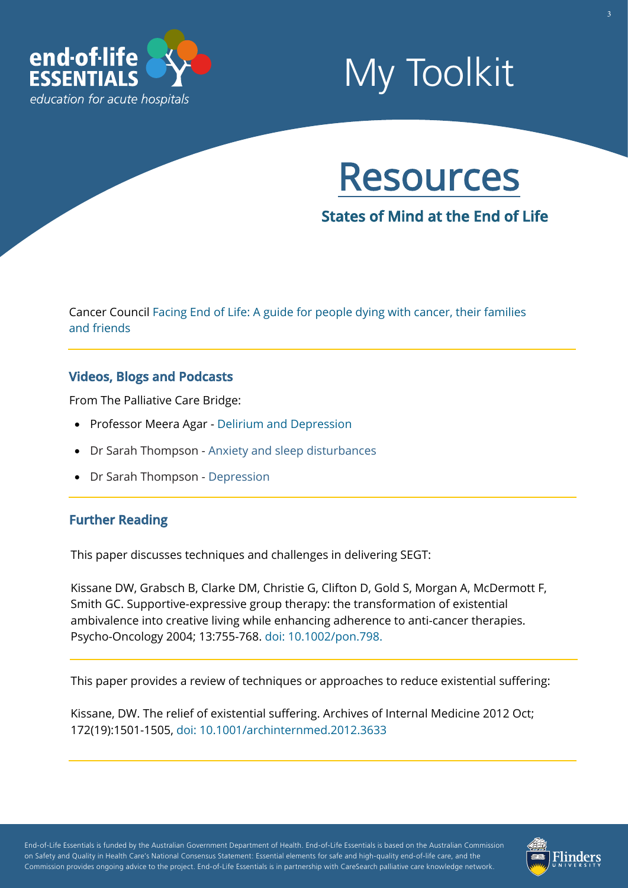

### My Toolkit



**States of Mind at the End of Life**

[Cancer Council Facing End of Life: A guide for people dying with cancer, their families](https://www.cancer.org.au/assets/pdf/facing-end-of-life) and friends

#### **Videos, Blogs and Podcasts**

From The Palliative Care Bridge:

- Professor Meera Agar - [Delirium and Depression](http://www.palliativecarebridge.com.au/resources/delirium-and-depression)
- Dr Sarah Thompson [Anxiety and sleep disturbances](http://www.palliativecarebridge.com.au/resources/anxiety-and-sleep-disturbances)
- Dr Sarah Thompson [Depression](http://www.palliativecarebridge.com.au/resources/depression)

### **Further Reading**

This paper discusses techniques and challenges in delivering SEGT:

Kissane DW, Grabsch B, Clarke DM, Christie G, Clifton D, Gold S, Morgan A, McDermott F, Smith GC. Supportive-expressive group therapy: the transformation of existential ambivalence into creative living while enhancing adherence to anti-cancer therapies. Psycho-Oncology 2004; 13:755-768. [doi: 10.1002/pon.798.](https://pubmed.ncbi.nlm.nih.gov/15386637/)

This paper provides a review of techniques or approaches to reduce existential suffering:

Kissane, DW. The relief of existential suffering. Archives of Internal Medicine 2012 Oct; 172(19):1501-1505, [doi: 10.1001/archinternmed.2012.3633](https://pubmed.ncbi.nlm.nih.gov/22945389/)

End-of-Life Essentials is funded by the Australian Government Department of Health. End-of-Life Essentials is based on the Australian Commission on Safety and Quality in Health Care's National Consensus Statement: Essential elements for safe and high-quality end-of-life care, and the Commission provides ongoing advice to the project. End-of-Life Essentials is in partnership with CareSearch palliative care knowledge network.